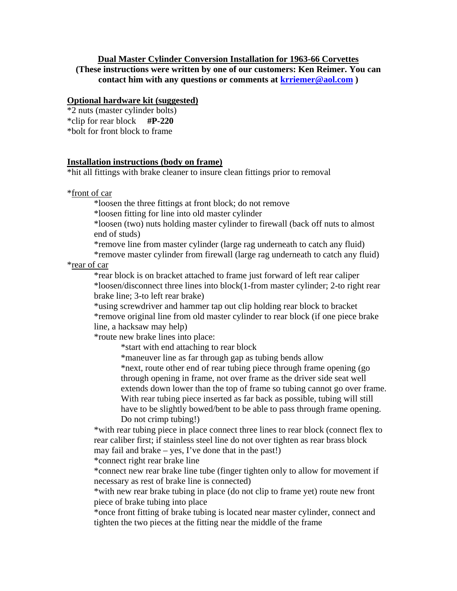## **Dual Master Cylinder Conversion Installation for 1963-66 Corvettes**

**(These instructions were written by one of our customers: Ken Reimer. You can contact him with any questions or comments at krriemer@aol.com )** 

## **Optional hardware kit (suggested)**

\*2 nuts (master cylinder bolts)

\*clip for rear block **#P-220**

\*bolt for front block to frame

## **Installation instructions (body on frame)**

\*hit all fittings with brake cleaner to insure clean fittings prior to removal

\*front of car

\*loosen the three fittings at front block; do not remove

\*loosen fitting for line into old master cylinder

 \*loosen (two) nuts holding master cylinder to firewall (back off nuts to almost end of studs)

\*remove line from master cylinder (large rag underneath to catch any fluid)

 \*remove master cylinder from firewall (large rag underneath to catch any fluid) \*rear of car

 \*rear block is on bracket attached to frame just forward of left rear caliper \*loosen/disconnect three lines into block(1-from master cylinder; 2-to right rear brake line; 3-to left rear brake)

 \*using screwdriver and hammer tap out clip holding rear block to bracket \*remove original line from old master cylinder to rear block (if one piece brake line, a hacksaw may help)

\*route new brake lines into place:

\*start with end attaching to rear block

\*maneuver line as far through gap as tubing bends allow

 \*next, route other end of rear tubing piece through frame opening (go through opening in frame, not over frame as the driver side seat well extends down lower than the top of frame so tubing cannot go over frame. With rear tubing piece inserted as far back as possible, tubing will still have to be slightly bowed/bent to be able to pass through frame opening. Do not crimp tubing!)

 \*with rear tubing piece in place connect three lines to rear block (connect flex to rear caliber first; if stainless steel line do not over tighten as rear brass block may fail and brake – yes, I've done that in the past!)

\*connect right rear brake line

 \*connect new rear brake line tube (finger tighten only to allow for movement if necessary as rest of brake line is connected)

 \*with new rear brake tubing in place (do not clip to frame yet) route new front piece of brake tubing into place

 \*once front fitting of brake tubing is located near master cylinder, connect and tighten the two pieces at the fitting near the middle of the frame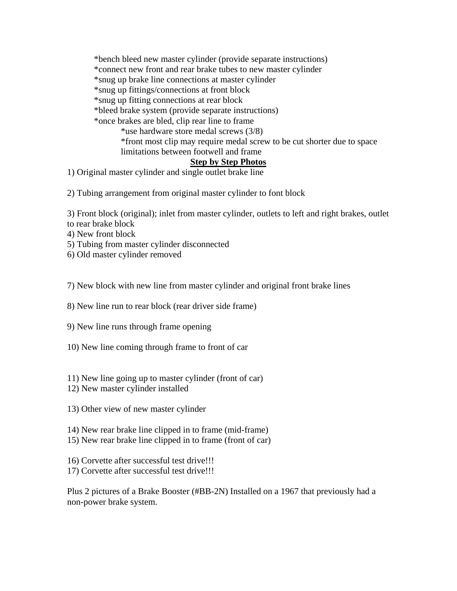\*bench bleed new master cylinder (provide separate instructions) \*connect new front and rear brake tubes to new master cylinder \*snug up brake line connections at master cylinder \*snug up fittings/connections at front block \*snug up fitting connections at rear block \*bleed brake system (provide separate instructions) \*once brakes are bled, clip rear line to frame \*use hardware store medal screws (3/8) \*front most clip may require medal screw to be cut shorter due to space limitations between footwell and frame

## **Step by Step Photos**

1) Original master cylinder and single outlet brake line

2) Tubing arrangement from original master cylinder to font block

3) Front block (original); inlet from master cylinder, outlets to left and right brakes, outlet to rear brake block

4) New front block

5) Tubing from master cylinder disconnected

6) Old master cylinder removed

7) New block with new line from master cylinder and original front brake lines

8) New line run to rear block (rear driver side frame)

9) New line runs through frame opening

10) New line coming through frame to front of car

11) New line going up to master cylinder (front of car)

12) New master cylinder installed

13) Other view of new master cylinder

14) New rear brake line clipped in to frame (mid-frame)

15) New rear brake line clipped in to frame (front of car)

16) Corvette after successful test drive!!!

17) Corvette after successful test drive!!!

Plus 2 pictures of a Brake Booster (#BB-2N) Installed on a 1967 that previously had a non-power brake system.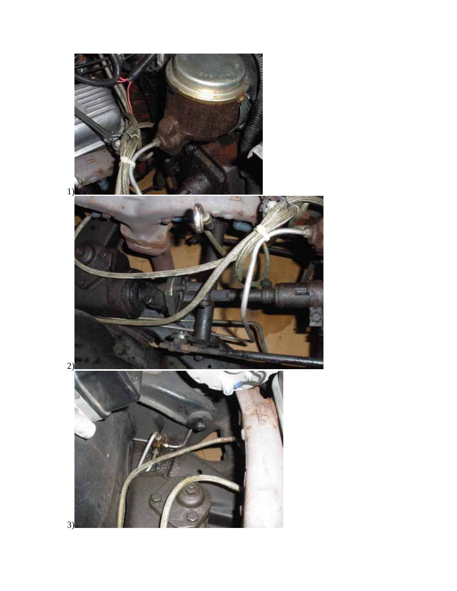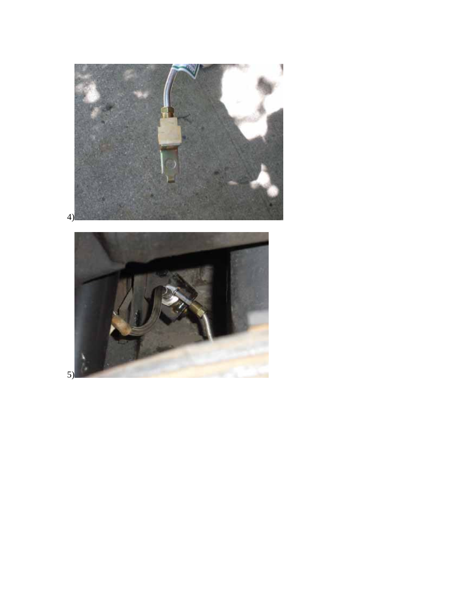

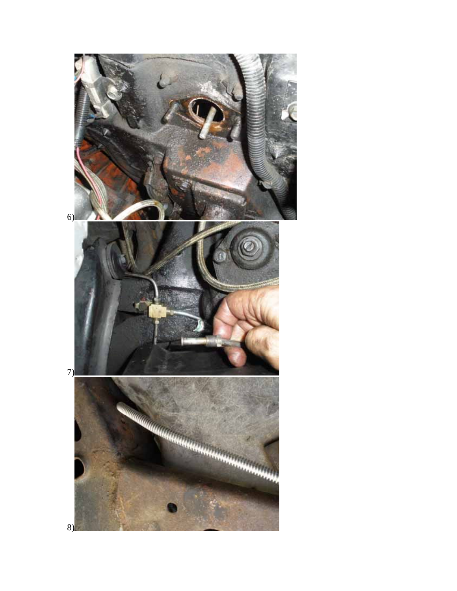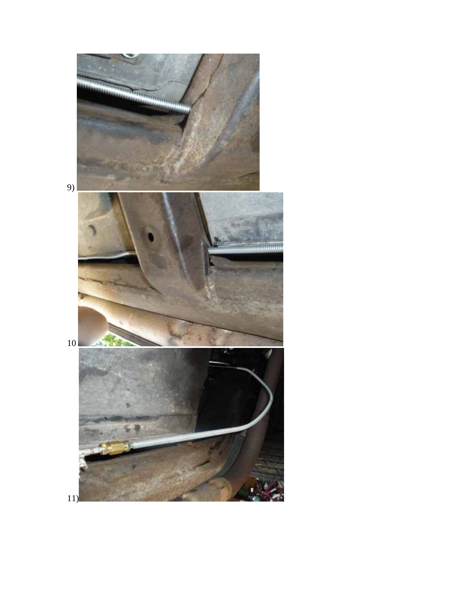

11)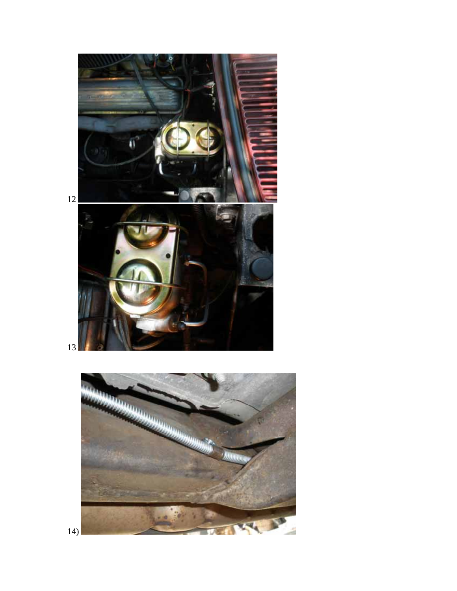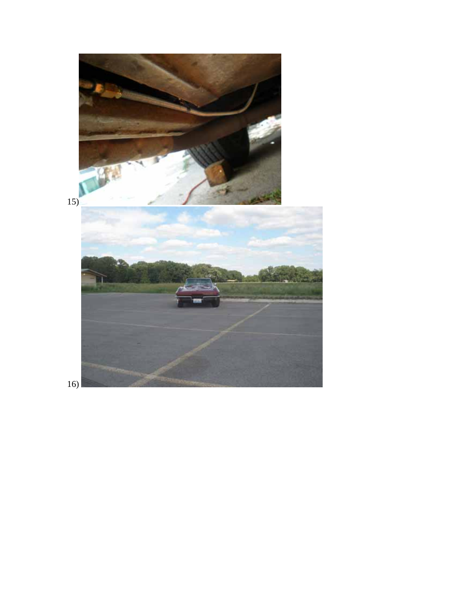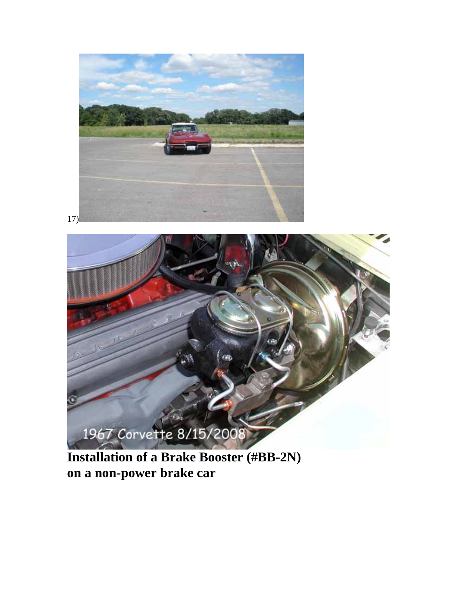



**Installation of a Brake Booster (#BB-2N) on a non-power brake car**